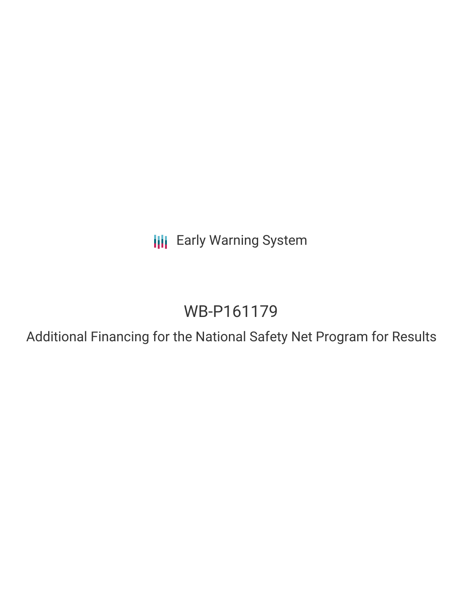**III** Early Warning System

# WB-P161179

Additional Financing for the National Safety Net Program for Results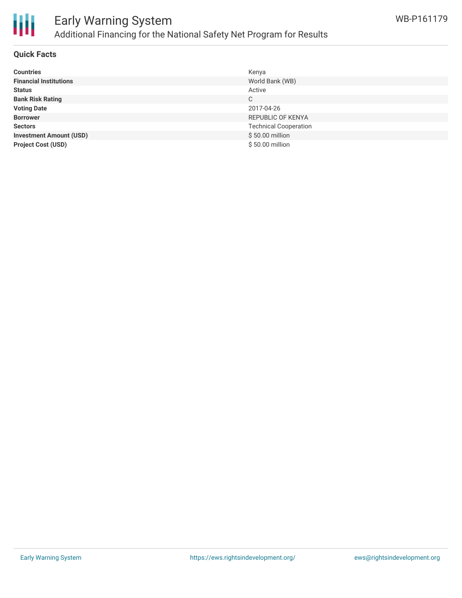

## Early Warning System Additional Financing for the National Safety Net Program for Results

#### **Quick Facts**

| <b>Countries</b>               | Kenya                        |
|--------------------------------|------------------------------|
| <b>Financial Institutions</b>  | World Bank (WB)              |
| <b>Status</b>                  | Active                       |
| <b>Bank Risk Rating</b>        | C                            |
| <b>Voting Date</b>             | 2017-04-26                   |
| <b>Borrower</b>                | REPUBLIC OF KENYA            |
| <b>Sectors</b>                 | <b>Technical Cooperation</b> |
| <b>Investment Amount (USD)</b> | \$50.00 million              |
| <b>Project Cost (USD)</b>      | \$50.00 million              |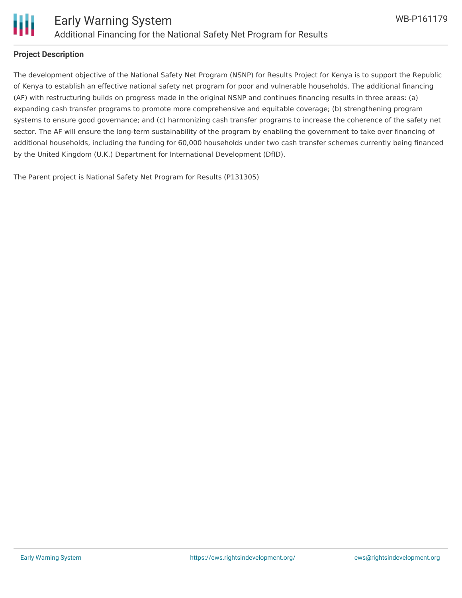

#### **Project Description**

The development objective of the National Safety Net Program (NSNP) for Results Project for Kenya is to support the Republic of Kenya to establish an effective national safety net program for poor and vulnerable households. The additional financing (AF) with restructuring builds on progress made in the original NSNP and continues financing results in three areas: (a) expanding cash transfer programs to promote more comprehensive and equitable coverage; (b) strengthening program systems to ensure good governance; and (c) harmonizing cash transfer programs to increase the coherence of the safety net sector. The AF will ensure the long-term sustainability of the program by enabling the government to take over financing of additional households, including the funding for 60,000 households under two cash transfer schemes currently being financed by the United Kingdom (U.K.) Department for International Development (DfID).

The Parent project is National Safety Net Program for Results (P131305)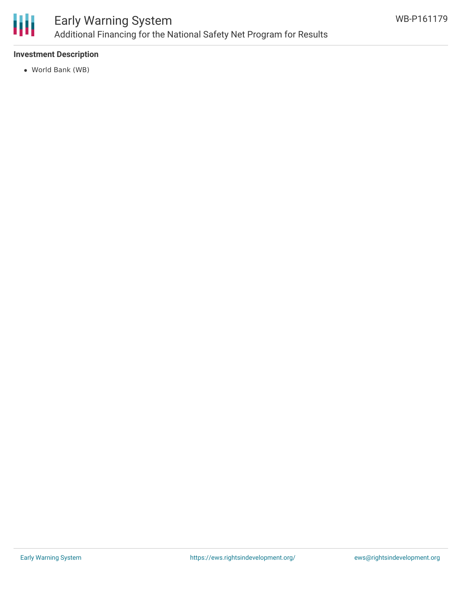

#### **Investment Description**

World Bank (WB)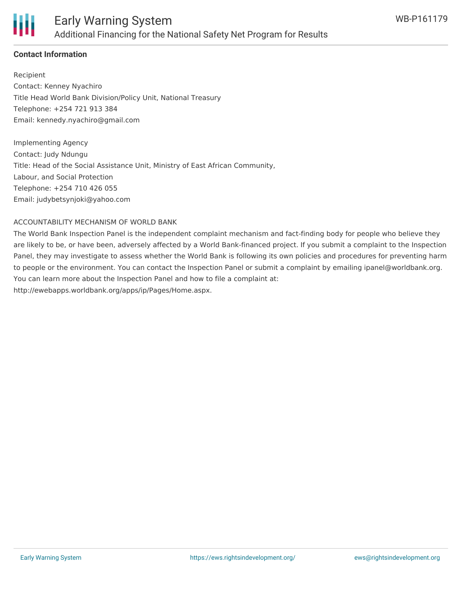

#### **Contact Information**

Recipient Contact: Kenney Nyachiro Title Head World Bank Division/Policy Unit, National Treasury Telephone: +254 721 913 384 Email: kennedy.nyachiro@gmail.com

Implementing Agency Contact: Judy Ndungu Title: Head of the Social Assistance Unit, Ministry of East African Community, Labour, and Social Protection Telephone: +254 710 426 055 Email: judybetsynjoki@yahoo.com

#### ACCOUNTABILITY MECHANISM OF WORLD BANK

The World Bank Inspection Panel is the independent complaint mechanism and fact-finding body for people who believe they are likely to be, or have been, adversely affected by a World Bank-financed project. If you submit a complaint to the Inspection Panel, they may investigate to assess whether the World Bank is following its own policies and procedures for preventing harm to people or the environment. You can contact the Inspection Panel or submit a complaint by emailing ipanel@worldbank.org. You can learn more about the Inspection Panel and how to file a complaint at: http://ewebapps.worldbank.org/apps/ip/Pages/Home.aspx.